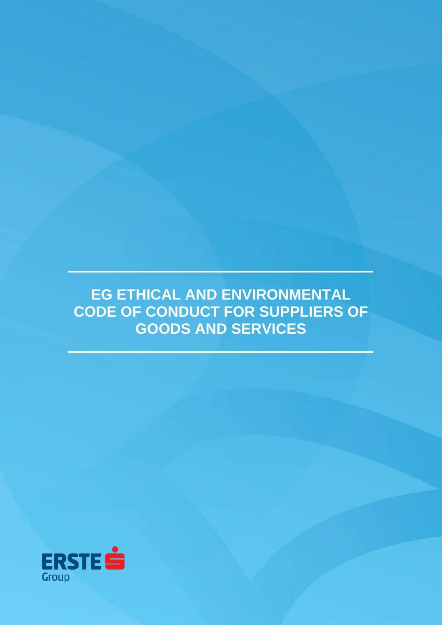**EG ETHICAL AND ENVIRONMENTAL CODE OF CONDUCT FOR SUPPLIERS OF GOODS AND SERVICES**

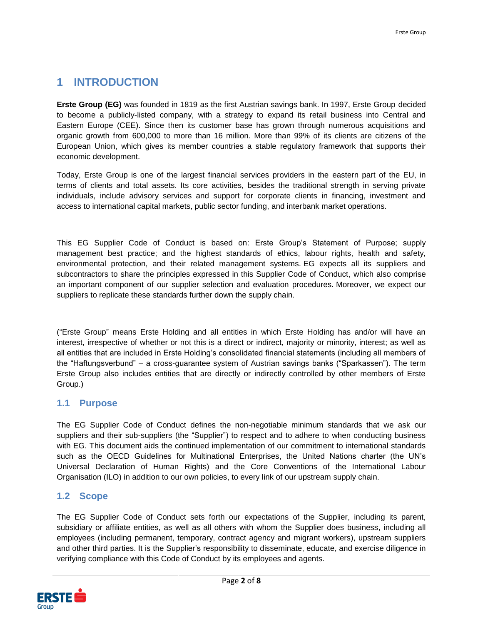# **1 INTRODUCTION**

**Erste Group (EG)** was founded in 1819 as the first Austrian savings bank. In 1997, Erste Group decided to become a publicly-listed company, with a strategy to expand its retail business into Central and Eastern Europe (CEE). Since then its customer base has grown through numerous acquisitions and organic growth from 600,000 to more than 16 million. More than 99% of its clients are citizens of the European Union, which gives its member countries a stable regulatory framework that supports their economic development.

Today, Erste Group is one of the largest financial services providers in the eastern part of the EU, in terms of clients and total assets. Its core activities, besides the traditional strength in serving private individuals, include advisory services and support for corporate clients in financing, investment and access to international capital markets, public sector funding, and interbank market operations.

This EG Supplier Code of Conduct is based on: Erste Group's Statement of Purpose; supply management best practice; and the highest standards of ethics, labour rights, health and safety, environmental protection, and their related management systems. EG expects all its suppliers and subcontractors to share the principles expressed in this Supplier Code of Conduct, which also comprise an important component of our supplier selection and evaluation procedures. Moreover, we expect our suppliers to replicate these standards further down the supply chain.

("Erste Group" means Erste Holding and all entities in which Erste Holding has and/or will have an interest, irrespective of whether or not this is a direct or indirect, majority or minority, interest; as well as all entities that are included in Erste Holding's consolidated financial statements (including all members of the "Haftungsverbund" – a cross-guarantee system of Austrian savings banks ("Sparkassen"). The term Erste Group also includes entities that are directly or indirectly controlled by other members of Erste Group.)

# **1.1 Purpose**

The EG Supplier Code of Conduct defines the non-negotiable minimum standards that we ask our suppliers and their sub-suppliers (the "Supplier") to respect and to adhere to when conducting business with EG. This document aids the continued implementation of our commitment to international standards such as the OECD Guidelines for Multinational Enterprises, the United Nations charter (the UN's Universal Declaration of Human Rights) and the Core Conventions of the International Labour Organisation (ILO) in addition to our own policies, to every link of our upstream supply chain.

# **1.2 Scope**

The EG Supplier Code of Conduct sets forth our expectations of the Supplier, including its parent, subsidiary or affiliate entities, as well as all others with whom the Supplier does business, including all employees (including permanent, temporary, contract agency and migrant workers), upstream suppliers and other third parties. It is the Supplier's responsibility to disseminate, educate, and exercise diligence in verifying compliance with this Code of Conduct by its employees and agents.

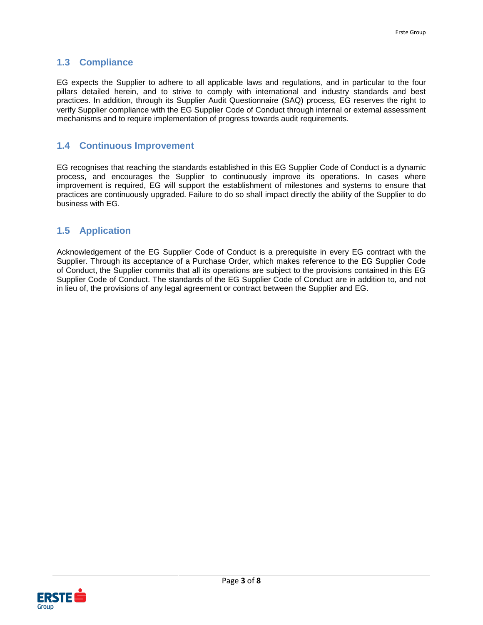# **1.3 Compliance**

EG expects the Supplier to adhere to all applicable laws and regulations, and in particular to the four pillars detailed herein, and to strive to comply with international and industry standards and best practices. In addition, through its Supplier Audit Questionnaire (SAQ) process*,* EG reserves the right to verify Supplier compliance with the EG Supplier Code of Conduct through internal or external assessment mechanisms and to require implementation of progress towards audit requirements.

# **1.4 Continuous Improvement**

EG recognises that reaching the standards established in this EG Supplier Code of Conduct is a dynamic process, and encourages the Supplier to continuously improve its operations. In cases where improvement is required, EG will support the establishment of milestones and systems to ensure that practices are continuously upgraded. Failure to do so shall impact directly the ability of the Supplier to do business with EG.

# **1.5 Application**

Acknowledgement of the EG Supplier Code of Conduct is a prerequisite in every EG contract with the Supplier. Through its acceptance of a Purchase Order, which makes reference to the EG Supplier Code of Conduct, the Supplier commits that all its operations are subject to the provisions contained in this EG Supplier Code of Conduct. The standards of the EG Supplier Code of Conduct are in addition to, and not in lieu of, the provisions of any legal agreement or contract between the Supplier and EG.

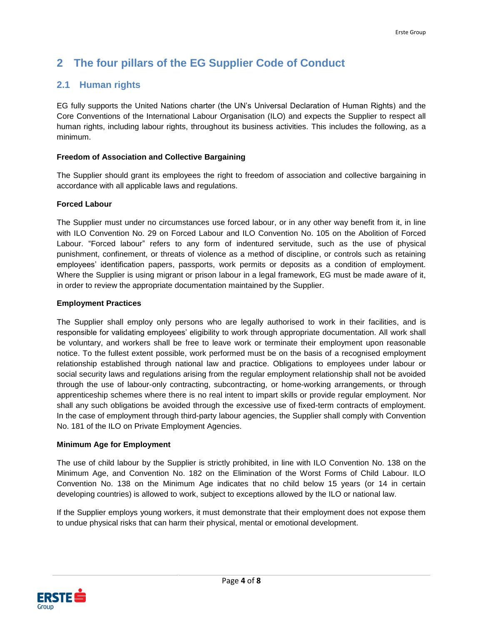# **2 The four pillars of the EG Supplier Code of Conduct**

# **2.1 Human rights**

EG fully supports the United Nations charter (the UN's Universal Declaration of Human Rights) and the Core Conventions of the International Labour Organisation (ILO) and expects the Supplier to respect all human rights, including labour rights, throughout its business activities. This includes the following, as a minimum.

## **Freedom of Association and Collective Bargaining**

The Supplier should grant its employees the right to freedom of association and collective bargaining in accordance with all applicable laws and regulations.

## **Forced Labour**

The Supplier must under no circumstances use forced labour, or in any other way benefit from it, in line with ILO Convention No. 29 on Forced Labour and ILO Convention No. 105 on the Abolition of Forced Labour. "Forced labour" refers to any form of indentured servitude, such as the use of physical punishment, confinement, or threats of violence as a method of discipline, or controls such as retaining employees' identification papers, passports, work permits or deposits as a condition of employment. Where the Supplier is using migrant or prison labour in a legal framework, EG must be made aware of it, in order to review the appropriate documentation maintained by the Supplier.

## **Employment Practices**

The Supplier shall employ only persons who are legally authorised to work in their facilities, and is responsible for validating employees' eligibility to work through appropriate documentation. All work shall be voluntary, and workers shall be free to leave work or terminate their employment upon reasonable notice. To the fullest extent possible, work performed must be on the basis of a recognised employment relationship established through national law and practice. Obligations to employees under labour or social security laws and regulations arising from the regular employment relationship shall not be avoided through the use of labour-only contracting, subcontracting, or home-working arrangements, or through apprenticeship schemes where there is no real intent to impart skills or provide regular employment. Nor shall any such obligations be avoided through the excessive use of fixed-term contracts of employment. In the case of employment through third-party labour agencies, the Supplier shall comply with Convention No. 181 of the ILO on Private Employment Agencies.

## **Minimum Age for Employment**

The use of child labour by the Supplier is strictly prohibited, in line with ILO Convention No. 138 on the Minimum Age, and Convention No. 182 on the Elimination of the Worst Forms of Child Labour. ILO Convention No. 138 on the Minimum Age indicates that no child below 15 years (or 14 in certain developing countries) is allowed to work, subject to exceptions allowed by the ILO or national law.

If the Supplier employs young workers, it must demonstrate that their employment does not expose them to undue physical risks that can harm their physical, mental or emotional development.

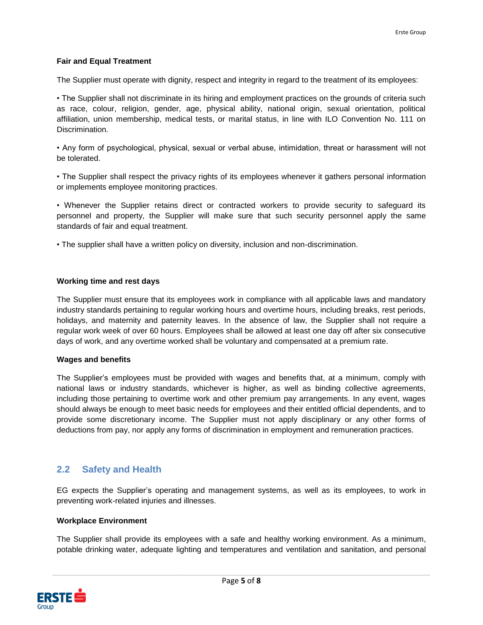## **Fair and Equal Treatment**

The Supplier must operate with dignity, respect and integrity in regard to the treatment of its employees:

• The Supplier shall not discriminate in its hiring and employment practices on the grounds of criteria such as race, colour, religion, gender, age, physical ability, national origin, sexual orientation, political affiliation, union membership, medical tests, or marital status, in line with ILO Convention No. 111 on Discrimination.

• Any form of psychological, physical, sexual or verbal abuse, intimidation, threat or harassment will not be tolerated.

• The Supplier shall respect the privacy rights of its employees whenever it gathers personal information or implements employee monitoring practices.

• Whenever the Supplier retains direct or contracted workers to provide security to safeguard its personnel and property, the Supplier will make sure that such security personnel apply the same standards of fair and equal treatment.

• The supplier shall have a written policy on diversity, inclusion and non-discrimination.

## **Working time and rest days**

The Supplier must ensure that its employees work in compliance with all applicable laws and mandatory industry standards pertaining to regular working hours and overtime hours, including breaks, rest periods, holidays, and maternity and paternity leaves. In the absence of law, the Supplier shall not require a regular work week of over 60 hours. Employees shall be allowed at least one day off after six consecutive days of work, and any overtime worked shall be voluntary and compensated at a premium rate.

#### **Wages and benefits**

The Supplier's employees must be provided with wages and benefits that, at a minimum, comply with national laws or industry standards, whichever is higher, as well as binding collective agreements, including those pertaining to overtime work and other premium pay arrangements. In any event, wages should always be enough to meet basic needs for employees and their entitled official dependents, and to provide some discretionary income. The Supplier must not apply disciplinary or any other forms of deductions from pay, nor apply any forms of discrimination in employment and remuneration practices.

# **2.2 Safety and Health**

EG expects the Supplier's operating and management systems, as well as its employees, to work in preventing work-related injuries and illnesses.

#### **Workplace Environment**

The Supplier shall provide its employees with a safe and healthy working environment. As a minimum, potable drinking water, adequate lighting and temperatures and ventilation and sanitation, and personal

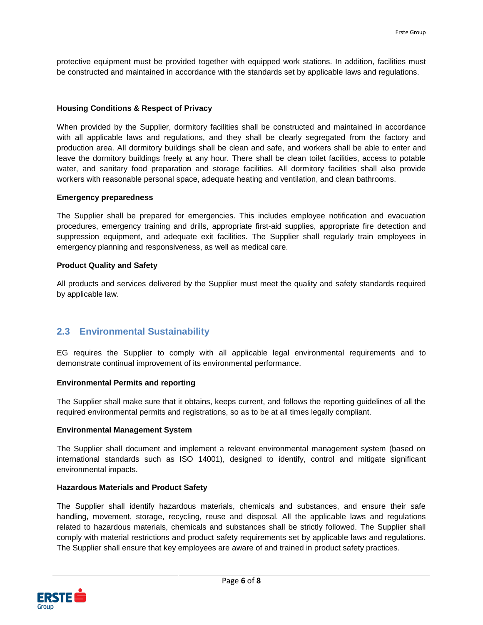protective equipment must be provided together with equipped work stations. In addition, facilities must be constructed and maintained in accordance with the standards set by applicable laws and regulations.

#### **Housing Conditions & Respect of Privacy**

When provided by the Supplier, dormitory facilities shall be constructed and maintained in accordance with all applicable laws and regulations, and they shall be clearly segregated from the factory and production area. All dormitory buildings shall be clean and safe, and workers shall be able to enter and leave the dormitory buildings freely at any hour. There shall be clean toilet facilities, access to potable water, and sanitary food preparation and storage facilities. All dormitory facilities shall also provide workers with reasonable personal space, adequate heating and ventilation, and clean bathrooms.

#### **Emergency preparedness**

The Supplier shall be prepared for emergencies. This includes employee notification and evacuation procedures, emergency training and drills, appropriate first-aid supplies, appropriate fire detection and suppression equipment, and adequate exit facilities. The Supplier shall regularly train employees in emergency planning and responsiveness, as well as medical care.

#### **Product Quality and Safety**

All products and services delivered by the Supplier must meet the quality and safety standards required by applicable law.

# **2.3 Environmental Sustainability**

EG requires the Supplier to comply with all applicable legal environmental requirements and to demonstrate continual improvement of its environmental performance.

#### **Environmental Permits and reporting**

The Supplier shall make sure that it obtains, keeps current, and follows the reporting guidelines of all the required environmental permits and registrations, so as to be at all times legally compliant.

#### **Environmental Management System**

The Supplier shall document and implement a relevant environmental management system (based on international standards such as ISO 14001), designed to identify, control and mitigate significant environmental impacts.

#### **Hazardous Materials and Product Safety**

The Supplier shall identify hazardous materials, chemicals and substances, and ensure their safe handling, movement, storage, recycling, reuse and disposal. All the applicable laws and regulations related to hazardous materials, chemicals and substances shall be strictly followed. The Supplier shall comply with material restrictions and product safety requirements set by applicable laws and regulations. The Supplier shall ensure that key employees are aware of and trained in product safety practices.

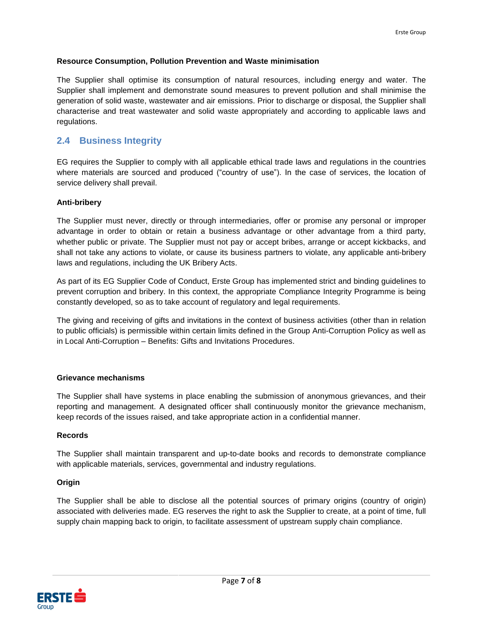## **Resource Consumption, Pollution Prevention and Waste minimisation**

The Supplier shall optimise its consumption of natural resources, including energy and water. The Supplier shall implement and demonstrate sound measures to prevent pollution and shall minimise the generation of solid waste, wastewater and air emissions. Prior to discharge or disposal, the Supplier shall characterise and treat wastewater and solid waste appropriately and according to applicable laws and regulations.

# **2.4 Business Integrity**

EG requires the Supplier to comply with all applicable ethical trade laws and regulations in the countries where materials are sourced and produced ("country of use"). In the case of services, the location of service delivery shall prevail.

## **Anti-bribery**

The Supplier must never, directly or through intermediaries, offer or promise any personal or improper advantage in order to obtain or retain a business advantage or other advantage from a third party, whether public or private. The Supplier must not pay or accept bribes, arrange or accept kickbacks, and shall not take any actions to violate, or cause its business partners to violate, any applicable anti-bribery laws and regulations, including the UK Bribery Acts.

As part of its EG Supplier Code of Conduct, Erste Group has implemented strict and binding guidelines to prevent corruption and bribery. In this context, the appropriate Compliance Integrity Programme is being constantly developed, so as to take account of regulatory and legal requirements.

The giving and receiving of gifts and invitations in the context of business activities (other than in relation to public officials) is permissible within certain limits defined in the Group Anti-Corruption Policy as well as in Local Anti-Corruption – Benefits: Gifts and Invitations Procedures.

## **Grievance mechanisms**

The Supplier shall have systems in place enabling the submission of anonymous grievances, and their reporting and management. A designated officer shall continuously monitor the grievance mechanism, keep records of the issues raised, and take appropriate action in a confidential manner.

## **Records**

The Supplier shall maintain transparent and up-to-date books and records to demonstrate compliance with applicable materials, services, governmental and industry regulations.

## **Origin**

The Supplier shall be able to disclose all the potential sources of primary origins (country of origin) associated with deliveries made. EG reserves the right to ask the Supplier to create, at a point of time, full supply chain mapping back to origin, to facilitate assessment of upstream supply chain compliance.